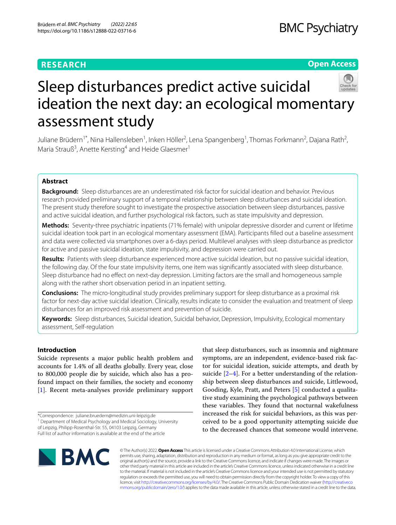# **RESEARCH**

# **BMC Psychiatry**

# **Open Access**



# Sleep disturbances predict active suicidal ideation the next day: an ecological momentary assessment study

Juliane Brüdern $^1$ \*, Nina Hallensleben $^1$ , Inken Höller $^2$ , Lena Spangenberg $^1$ , Thomas Forkmann $^2$ , Dajana Rath $^2$ , Maria Strauß<sup>3</sup>, Anette Kersting<sup>4</sup> and Heide Glaesmer<sup>1</sup>

# **Abstract**

**Background:** Sleep disturbances are an underestimated risk factor for suicidal ideation and behavior. Previous research provided preliminary support of a temporal relationship between sleep disturbances and suicidal ideation. The present study therefore sought to investigate the prospective association between sleep disturbances, passive and active suicidal ideation, and further psychological risk factors, such as state impulsivity and depression.

**Methods:** Seventy-three psychiatric inpatients (71% female) with unipolar depressive disorder and current or lifetime suicidal ideation took part in an ecological momentary assessment (EMA). Participants flled out a baseline assessment and data were collected via smartphones over a 6-days period. Multilevel analyses with sleep disturbance as predictor for active and passive suicidal ideation, state impulsivity, and depression were carried out.

**Results:** Patients with sleep disturbance experienced more active suicidal ideation, but no passive suicidal ideation, the following day. Of the four state impulsivity items, one item was signifcantly associated with sleep disturbance. Sleep disturbance had no efect on next-day depression. Limiting factors are the small and homogeneous sample along with the rather short observation period in an inpatient setting.

**Conclusions:** The micro-longitudinal study provides preliminary support for sleep disturbance as a proximal risk factor for next-day active suicidal ideation. Clinically, results indicate to consider the evaluation and treatment of sleep disturbances for an improved risk assessment and prevention of suicide.

**Keywords:** Sleep disturbances, Suicidal ideation, Suicidal behavior, Depression, Impulsivity, Ecological momentary assessment, Self-regulation

# **Introduction**

Suicide represents a major public health problem and accounts for 1.4% of all deaths globally. Every year, close to 800,000 people die by suicide, which also has a profound impact on their families, the society and economy [[1\]](#page-5-0). Recent meta-analyses provide preliminary support

Full list of author information is available at the end of the article

that sleep disturbances, such as insomnia and nightmare symptoms, are an independent, evidence-based risk factor for suicidal ideation, suicide attempts, and death by suicide [\[2](#page-5-1)[–4](#page-5-2)]. For a better understanding of the relationship between sleep disturbances and suicide, Littlewood, Gooding, Kyle, Pratt, and Peters [[5\]](#page-5-3) conducted a qualitative study examining the psychological pathways between these variables. They found that nocturnal wakefulness increased the risk for suicidal behaviors, as this was perceived to be a good opportunity attempting suicide due to the decreased chances that someone would intervene.



© The Author(s) 2022. **Open Access** This article is licensed under a Creative Commons Attribution 4.0 International License, which permits use, sharing, adaptation, distribution and reproduction in any medium or format, as long as you give appropriate credit to the original author(s) and the source, provide a link to the Creative Commons licence, and indicate if changes were made. The images or other third party material in this article are included in the article's Creative Commons licence, unless indicated otherwise in a credit line to the material. If material is not included in the article's Creative Commons licence and your intended use is not permitted by statutory regulation or exceeds the permitted use, you will need to obtain permission directly from the copyright holder. To view a copy of this licence, visit [http://creativecommons.org/licenses/by/4.0/.](http://creativecommons.org/licenses/by/4.0/) The Creative Commons Public Domain Dedication waiver ([http://creativeco](http://creativecommons.org/publicdomain/zero/1.0/) [mmons.org/publicdomain/zero/1.0/](http://creativecommons.org/publicdomain/zero/1.0/)) applies to the data made available in this article, unless otherwise stated in a credit line to the data.

<sup>\*</sup>Correspondence: juliane.bruedern@medizin.uni-leipzig.de

<sup>&</sup>lt;sup>1</sup> Department of Medical Psychology and Medical Sociology, University

of Leipzig, Philipp-Rosenthal-Str. 55, 04103 Leipzig, Germany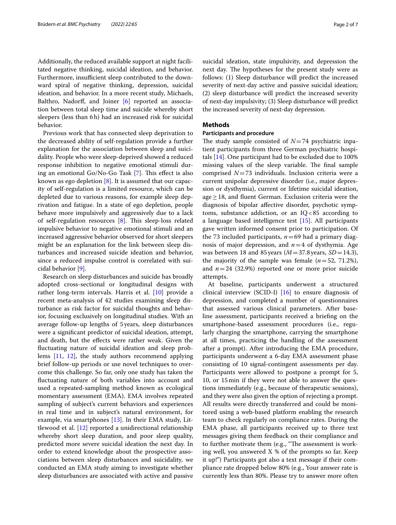Additionally, the reduced available support at night facilitated negative thinking, suicidal ideation, and behavior. Furthermore, insufficient sleep contributed to the downward spiral of negative thinking, depression, suicidal ideation, and behavior. In a more recent study, Michaels, Balthro, Nadorff, and Joiner [[6\]](#page-6-0) reported an association between total sleep time and suicide whereby short sleepers (less than 6h) had an increased risk for suicidal behavior.

Previous work that has connected sleep deprivation to the decreased ability of self-regulation provide a further explanation for the association between sleep and suicidality. People who were sleep-deprived showed a reduced response inhibition to negative emotional stimuli during an emotional Go/No-Go Task  $[7]$  $[7]$ . This effect is also known as ego depletion [[8](#page-6-2)]. It is assumed that our capacity of self-regulation is a limited resource, which can be depleted due to various reasons, for example sleep deprivation and fatigue. In a state of ego depletion, people behave more impulsively and aggressively due to a lack of self-regulation resources [[8](#page-6-2)]. This sleep-loss related impulsive behavior to negative emotional stimuli and an increased aggressive behavior observed for short sleepers might be an explanation for the link between sleep disturbances and increased suicide ideation and behavior, since a reduced impulse control is correlated with suicidal behavior [[9](#page-6-3)].

Research on sleep disturbances and suicide has broadly adopted cross-sectional or longitudinal designs with rather long-term intervals. Harris et al. [\[10](#page-6-4)] provide a recent meta-analysis of 42 studies examining sleep disturbance as risk factor for suicidal thoughts and behavior, focusing exclusively on longitudinal studies. With an average follow-up lengths of 5years, sleep disturbances were a signifcant predictor of suicidal ideation, attempt, and death, but the efects were rather weak. Given the fuctuating nature of suicidal ideation and sleep problems [[11,](#page-6-5) [12\]](#page-6-6), the study authors recommend applying brief follow-up periods or use novel techniques to overcome this challenge. So far, only one study has taken the fuctuating nature of both variables into account and used a repeated-sampling method known as ecological momentary assessment (EMA). EMA involves repeated sampling of subject's current behaviors and experiences in real time and in subject's natural environment, for example, via smartphones [[13](#page-6-7)]. In their EMA study, Littlewood et al. [\[12\]](#page-6-6) reported a unidirectional relationship whereby short sleep duration, and poor sleep quality, predicted more severe suicidal ideation the next day. In order to extend knowledge about the prospective associations between sleep disturbances and suicidality, we conducted an EMA study aiming to investigate whether sleep disturbances are associated with active and passive suicidal ideation, state impulsivity, and depression the next day. The hypotheses for the present study were as follows: (1) Sleep disturbance will predict the increased severity of next-day active and passive suicidal ideation; (2) sleep disturbance will predict the increased severity of next-day impulsivity; (3) Sleep disturbance will predict the increased severity of next-day depression.

# **Methods**

# **Participants and procedure**

The study sample consisted of  $N=74$  psychiatric inpatient participants from three German psychiatric hospitals [\[14](#page-6-8)]. One participant had to be excluded due to 100% missing values of the sleep variable. The final sample comprised *N*=73 individuals. Inclusion criteria were a current unipolar depressive disorder (i.e., major depression or dysthymia), current or lifetime suicidal ideation, age  $\geq$  18, and fluent German. Exclusion criteria were the diagnosis of bipolar afective disorder, psychotic symptoms, substance addiction, or an  $IQ < 85$  according to a language based intelligence test [\[15\]](#page-6-9). All participants gave written informed consent prior to participation. Of the 73 included participants,  $n=69$  had a primary diagnosis of major depression, and *n*=4 of dysthymia. Age was between 18 and 85 years (*M*=37.8years, *SD*=14.3), the majority of the sample was female  $(n=52, 71.2\%)$ , and  $n=24$  (32.9%) reported one or more prior suicide attempts.

At baseline, participants underwent a structured clinical interview (SCID-I) [\[16](#page-6-10)] to ensure diagnosis of depression, and completed a number of questionnaires that assessed various clinical parameters. After baseline assessment, participants received a briefng on the smartphone-based assessment procedures (i.e., regularly charging the smartphone, carrying the smartphone at all times, practicing the handling of the assessment after a prompt). After introducing the EMA procedure, participants underwent a 6-day EMA assessment phase consisting of 10 signal-contingent assessments per day. Participants were allowed to postpone a prompt for 5, 10, or 15min if they were not able to answer the questions immediately (e.g., because of therapeutic sessions), and they were also given the option of rejecting a prompt. All results were directly transferred and could be monitored using a web-based platform enabling the research team to check regularly on compliance rates. During the EMA phase, all participants received up to three text messages giving them feedback on their compliance and to further motivate them (e.g., "The assessment is working well, you answered X % of the prompts so far. Keep it up!") Participants got also a text message if their compliance rate dropped below 80% (e.g., Your answer rate is currently less than 80%. Please try to answer more often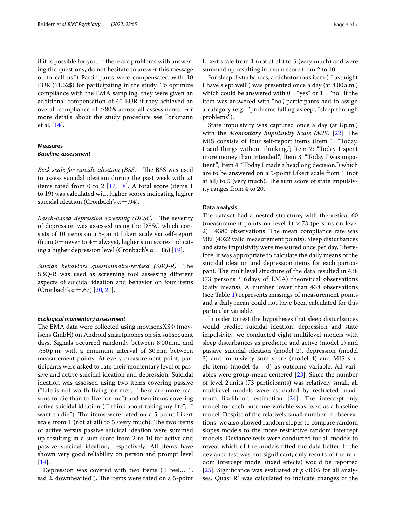if it is possible for you. If there are problems with answering the questions, do not hesitate to answer this message or to call us.") Participants were compensated with 10 EUR (11.62\$) for participating in the study. To optimize compliance with the EMA sampling, they were given an additional compensation of 40 EUR if they achieved an overall compliance of ≥80% across all assessments. For more details about the study procedure see Forkmann et al. [[14](#page-6-8)].

# **Measures** *Baseline‑assessment*

*Beck scale for suicide ideation (BSS)* The BSS was used to assess suicidal ideation during the past week with 21 items rated from 0 to 2  $[17, 18]$  $[17, 18]$  $[17, 18]$  $[17, 18]$  $[17, 18]$ . A total score (items 1 to 19) was calculated with higher scores indicating higher suicidal ideation (Cronbach's  $\alpha = .94$ ).

*Rasch-based depression screening (DESC)* The severity of depression was assessed using the DESC which consists of 10 items on a 5-point Likert scale via self-report (from  $0$  = never to  $4$  = always), higher sum scores indicating a higher depression level (Cronbach's  $\alpha$  = .86) [[19\]](#page-6-13).

*Suicide behaviors questionnaire-revised (SBQ-R)* The SBQ-R was used as screening tool assessing diferent aspects of suicidal ideation and behavior on four items (Cronbach's α = .67) [[20,](#page-6-14) [21](#page-6-15)].

# *Ecological momentary assessment*

The EMA data were collected using movisensXS© (movisens GmbH) on Android smartphones on six subsequent days. Signals occurred randomly between 8:00a.m. and 7:50p.m. with a minimum interval of 30min between measurement points. At every measurement point, participants were asked to rate their momentary level of passive and active suicidal ideation and depression. Suicidal ideation was assessed using two items covering passive ("Life is not worth living for me."; "There are more reasons to die than to live for me.") and two items covering active suicidal ideation ("I think about taking my life"; "I want to die."). The items were rated on a 5-point Likert scale from 1 (not at all) to 5 (very much). The two items of active versus passive suicidal ideation were summed up resulting in a sum score from 2 to 10 for active and passive suicidal ideation, respectively. All items have shown very good reliability on person and prompt level [[14\]](#page-6-8).

Depression was covered with two items ("I feel… 1. sad 2. downhearted"). The items were rated on a 5-point Likert scale from 1 (not at all) to 5 (very much) and were summed up resulting in a sum score from 2 to 10.

For sleep disturbances, a dichotomous item ("Last night I have slept well") was presented once a day (at 8:00 a.m.) which could be answered with  $0=$  "yes" or  $1=$  "no". If the item was answered with "no", participants had to assign a category (e.g., "problems falling asleep", "sleep through problems").

State impulsivity was captured once a day (at 8p.m.) with the *Momentary Impulsivity Scale (MIS)* [[22](#page-6-16)]. The MIS consists of four self-report items (Item 1: "Today, I said things without thinking."; Item 2: "Today I spent more money than intended."; Item 3: "Today I was impatient."; Item 4: "Today I made a headlong decision.") which are to be answered on a 5-point Likert scale from 1 (not at all) to 5 (very much). The sum score of state impulsivity ranges from 4 to 20.

# **Data analysis**

The dataset had a nested structure, with theoretical 60 (measurement points on level 1)  $\times$  73 (persons on level  $2$ ) = 4380 observations. The mean compliance rate was 90% (4022 valid measurement points). Sleep disturbances and state impulsivity were measured once per day. Therefore, it was appropriate to calculate the daily means of the suicidal ideation and depression items for each participant. The multilevel structure of the data resulted in 438 (73 persons \* 6days of EMA) theoretical observations (daily means). A number lower than 438 observations (see Table [1\)](#page-3-0) represents missings of measurement points and a daily mean could not have been calculated for this particular variable.

In order to test the hypotheses that sleep disturbances would predict suicidal ideation, depression and state impulsivity, we conducted eight multilevel models with sleep disturbances as predictor and active (model 1) and passive suicidal ideation (model 2), depression (model 3) and impulsivity sum score (model 4) and MIS single items (model 4a - d) as outcome variable. All variables were group-mean centered [\[23](#page-6-17)]. Since the number of level 2units (73 participants) was relatively small, all multilevel models were estimated by restricted maximum likelihood estimation  $[24]$  $[24]$  $[24]$ . The intercept-only model for each outcome variable was used as a baseline model. Despite of the relatively small number of observations, we also allowed random slopes to compare random slopes models to the more restrictive random intercept models. Deviance tests were conducted for all models to reveal which of the models ftted the data better. If the deviance test was not signifcant, only results of the random intercept model (fxed efects) would be reported [[25\]](#page-6-19). Significance was evaluated at  $p < 0.05$  for all analyses. Quasi  $R^2$  was calculated to indicate changes of the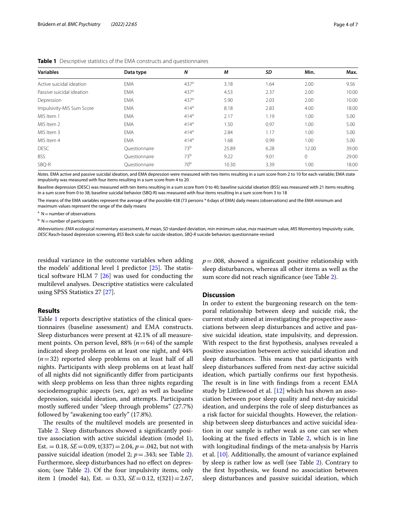| <b>Variables</b>          | Data type     | N                | M     | SD   | Min.     | Max.  |
|---------------------------|---------------|------------------|-------|------|----------|-------|
| Active suicidal ideation  | <b>EMA</b>    | 437 <sup>a</sup> | 3.18  | 1.64 | 2.00     | 9.56  |
| Passive suicidal ideation | <b>EMA</b>    | 437 <sup>a</sup> | 4.53  | 2.37 | 2.00     | 10.00 |
| Depression                | <b>EMA</b>    | 437 <sup>a</sup> | 5.90  | 2.03 | 2.00     | 10.00 |
| Impulsivity-MIS Sum Score | <b>EMA</b>    | 414 <sup>a</sup> | 8.18  | 2.83 | 4.00     | 18.00 |
| MIS Item 1                | <b>EMA</b>    | 414 <sup>a</sup> | 2.17  | 1.19 | 1.00     | 5.00  |
| MIS Item 2                | <b>EMA</b>    | 414 <sup>a</sup> | 1.50  | 0.97 | 1.00     | 5.00  |
| MIS Item 3                | <b>EMA</b>    | 414 <sup>a</sup> | 2.84  | 1.17 | 1.00     | 5.00  |
| MIS Item 4                | <b>EMA</b>    | 414 <sup>a</sup> | 1.68  | 0.99 | 1.00     | 5.00  |
| <b>DESC</b>               | Ouestionnaire | 73 <sup>b</sup>  | 25.89 | 6.28 | 12.00    | 39.00 |
| <b>BSS</b>                | Ouestionnaire | 73 <sup>b</sup>  | 9.22  | 9.01 | $\Omega$ | 29.00 |
| SBQ-R                     | Ouestionnaire | 70 <sup>b</sup>  | 10.30 | 3.39 | 1.00     | 18.00 |

<span id="page-3-0"></span>

| <b>Table 1</b> Descriptive statistics of the EMA constructs and questionnaires |
|--------------------------------------------------------------------------------|
|--------------------------------------------------------------------------------|

*Notes.* EMA active and passive suicidal ideation, and EMA depression were measured with two items resulting in a sum score from 2 to 10 for each variable; EMA state impulsivity was measured with four items resulting in a sum score from 4 to 20

Baseline depression (DESC) was measured with ten items resulting in a sum score from 0 to 40; baseline suicidal ideation (BSS) was measured with 21 items resulting in a sum score from 0 to 38; baseline suicidal behavior (SBQ-R) was measured with four items resulting in a sum score from 3 to 18

The means of the EMA variables represent the average of the possible 438 (73 persons \* 6days of EMA) daily means (observations) and the EMA minimum and maximum values represent the range of the daily means

 $A =$  N = number of observations

<sup>b</sup> N = number of participants

*Abbreviations*: *EMA* ecological momentary assessments, *M* mean, *SD* standard deviation, *min* minimum value, *max* maximum value, *MIS* Momentory Impusivity scale, *DESC* Rasch-based depression screening, *BSS* Beck scale for suicide ideation, *SBQ-R* suicide behaviors questionnaire-revised

residual variance in the outcome variables when adding the models' additional level 1 predictor  $[25]$ . The statistical software HLM 7 [\[26\]](#page-6-20) was used for conducting the multilevel analyses. Descriptive statistics were calculated using SPSS Statistics 27 [\[27\]](#page-6-21).

# **Results**

Table [1](#page-3-0) reports descriptive statistics of the clinical questionnaires (baseline assessment) and EMA constructs. Sleep disturbances were present at 42.1% of all measurement points. On person level,  $88\%$  ( $n=64$ ) of the sample indicated sleep problems on at least one night, and 44% (*n*=32) reported sleep problems on at least half of all nights. Participants with sleep problems on at least half of all nights did not signifcantly difer from participants with sleep problems on less than three nights regarding sociodemographic aspects (sex, age) as well as baseline depression, suicidal ideation, and attempts. Participants mostly sufered under "sleep through problems" (27.7%) followed by "awakening too early" (17.8%).

The results of the multilevel models are presented in Table [2](#page-4-0). Sleep disturbances showed a signifcantly positive association with active suicidal ideation (model 1), Est.  $= 0.18$ , *SE*  $= 0.09$ , t(337)  $= 2.04$ , *p* $= .042$ , but not with passive suicidal ideation (model 2; *p*=.343; see Table [2](#page-4-0)). Furthermore, sleep disturbances had no efect on depres-sion; (see Table [2\)](#page-4-0). Of the four impulsivity items, only item 1 (model 4a), Est. = 0.33,  $SE = 0.12$ , t(321) = 2.67,  $p = 0.008$ , showed a significant positive relationship with sleep disturbances, whereas all other items as well as the sum score did not reach signifcance (see Table [2\)](#page-4-0).

# **Discussion**

In order to extent the burgeoning research on the temporal relationship between sleep and suicide risk, the current study aimed at investigating the prospective associations between sleep disturbances and active and passive suicidal ideation, state impulsivity, and depression. With respect to the frst hypothesis, analyses revealed a positive association between active suicidal ideation and sleep disturbances. This means that participants with sleep disturbances sufered from next-day active suicidal ideation, which partially confrms our frst hypothesis. The result is in line with findings from a recent EMA study by Littlewood et al. [\[12](#page-6-6)] which has shown an association between poor sleep quality and next-day suicidal ideation, and underpins the role of sleep disturbances as a risk factor for suicidal thoughts. However, the relationship between sleep disturbances and active suicidal ideation in our sample is rather weak as one can see when looking at the fixed effects in Table [2,](#page-4-0) which is in line with longitudinal fndings of the meta-analysis by Harris et al.  $[10]$  $[10]$ . Additionally, the amount of variance explained by sleep is rather low as well (see Table [2\)](#page-4-0). Contrary to the frst hypothesis, we found no association between sleep disturbances and passive suicidal ideation, which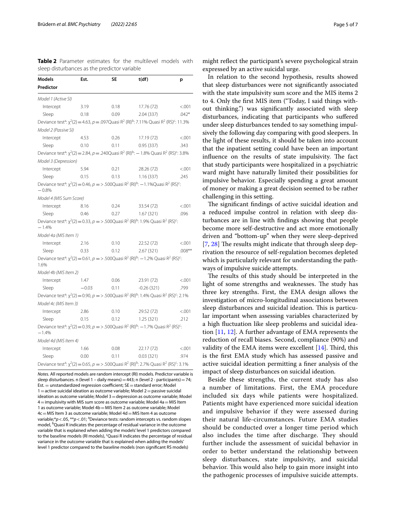<span id="page-4-0"></span>**Table 2** Parameter estimates for the multilevel models with sleep disturbances as the predictor variable

| <b>Models</b>           | Est.    | <b>SE</b> | t(df)                                                                                                                                                      | p         |
|-------------------------|---------|-----------|------------------------------------------------------------------------------------------------------------------------------------------------------------|-----------|
| Predictor               |         |           |                                                                                                                                                            |           |
| Model 1 (Active SI)     |         |           |                                                                                                                                                            |           |
| Intercept               | 3.19    | 0.18      | 17.76 (72)                                                                                                                                                 | < .001    |
| Sleep                   | 0.18    | 0.09      | 2.04 (337)                                                                                                                                                 | $.042*$   |
|                         |         |           | Deviance test <sup>a</sup> : $\chi^2(2) = 4.63$ , $p = .097$ Quasi R <sup>2</sup> (RI) <sup>b</sup> : 7.11% Quasi R <sup>2</sup> (RS) <sup>c</sup> : 11.3% |           |
| Model 2 (Passive SI)    |         |           |                                                                                                                                                            |           |
| Intercept               | 4.53    | 0.26      | 17.19 (72)                                                                                                                                                 | < 0.001   |
| Sleep                   | 0.10    | 0.11      | 0.95(337)                                                                                                                                                  | .343      |
|                         |         |           | Deviance test <sup>a</sup> : $\chi^2(2) = 2.84$ , $p = .240$ Quasi R <sup>2</sup> (RI) <sup>b</sup> : - 1.8% Quasi R <sup>2</sup> (RS) <sup>c</sup> : 3.8% |           |
| Model 3 (Depression)    |         |           |                                                                                                                                                            |           |
| Intercept               | 5.94    | 0.21      | 28.26 (72)                                                                                                                                                 | < .001    |
| Sleep                   | 0.15    | 0.13      | 1.16(337)                                                                                                                                                  | .245      |
| $-0.8%$                 |         |           | Deviance test <sup>a</sup> : $\chi^2(2) = 0.46$ , $p = > .500$ Quasi R <sup>2</sup> (RI) <sup>b</sup> : -1.1% Quasi R <sup>2</sup> (RS) <sup>c</sup> :     |           |
| Model 4 (MIS Sum Score) |         |           |                                                                                                                                                            |           |
| Intercept               | 8.16    | 0.24      | 33.54 (72)                                                                                                                                                 | < .001    |
| Sleep                   | 0.46    | 0.27      | 1.67(321)                                                                                                                                                  | .096      |
| $-1.4%$                 |         |           | Deviance test <sup>a</sup> : $\chi^2(2) = 0.33$ , $p = > .500Q$ uasi R <sup>2</sup> (RI) <sup>b</sup> : 1.9% Quasi R <sup>2</sup> (RS) <sup>c</sup> :      |           |
| Model 4a (MIS Item 1)   |         |           |                                                                                                                                                            |           |
| Intercept               | 2.16    | 0.10      | 22.52 (72)                                                                                                                                                 | < .001    |
| Sleep                   | 0.33    | 0.12      | 2.67 (321)                                                                                                                                                 | $.008***$ |
| 1.6%                    |         |           | Deviance test <sup>a</sup> : $\chi^2(2) = 0.61$ , $p = > .500$ Quasi R <sup>2</sup> (RI) <sup>b</sup> : -1.2% Quasi R <sup>2</sup> (RS) <sup>c</sup> :     |           |
| Model 4b (MIS Item 2)   |         |           |                                                                                                                                                            |           |
| Intercept               | 1.47    | 0.06      | 23.91 (72)                                                                                                                                                 | < 0.001   |
| Sleep                   | $-0.03$ | 0.11      | $-0.26(321)$                                                                                                                                               | .799      |
|                         |         |           | Deviance test <sup>a</sup> : $\chi^2(2) = 0.90$ , $p = > .500Q$ uasi R <sup>2</sup> (RI) <sup>b</sup> : 1.4% Quasi R <sup>2</sup> (RS) <sup>c</sup> : 2.1% |           |
| Model 4c (MIS Item 3)   |         |           |                                                                                                                                                            |           |
| Intercept               | 2.86    | 0.10      | 29.52 (72)                                                                                                                                                 | < .001    |
| Sleep                   | 0.15    | 0.12      | 1.25(321)                                                                                                                                                  | .212      |
| $-1.4%$                 |         |           | Deviance test <sup>a</sup> : $\chi^2(2) = 0.39$ , $p = > .500$ Quasi R <sup>2</sup> (RI) <sup>b</sup> : -1.7% Quasi R <sup>2</sup> (RS) <sup>c</sup> :     |           |
| Model 4d (MIS Item 4)   |         |           |                                                                                                                                                            |           |
| Intercept               | 1.66    | 0.08      | 22.17(72)                                                                                                                                                  | < 0.001   |
| Sleep                   | 0.00    | 0.11      | 0.03(321)                                                                                                                                                  | .974      |
|                         |         |           | Deviance test <sup>a</sup> : $\chi^2(2) = 0.65$ , $p = > .500Q$ uasi R <sup>2</sup> (RI) <sup>b</sup> : 2.7% Quasi R <sup>2</sup> (RS) <sup>c</sup> : 3.1% |           |

*Notes.* All reported models are random intercept (RI) models. Predictor variable is sleep disturbances. n (level 1 - daily means) = 443; n (level 2 - participants) = 74;  $Est. =$  unstandardized regression coefficient;  $SE =$  standard error; Model  $1=$ active suicidal ideation as outcome variable; Model 2 = passive suicidal ideation as outcome variable; Model 3 = depression as outcome variable; Model  $4=$  impulsivity with MIS sum score as outcome variable; Model  $4a=$  MIS Item 1 as outcome variable; Model 4b=MIS Item 2 as outcome variable; Model  $4c$  = MIS Item 3 as outcome variable; Model  $4d$  = MIS Item 4 as outcome variable;\* $p < .05$ , \*\* $p < .01$ ; <sup>a</sup>Deviance tests: random intercepts vs. random slopes model, <sup>b</sup>Quasi R indicates the percentage of residual variance in the outcome variable that is explained when adding the models' level 1 predictors compared to the baseline models (RI models), 'Quasi R indicates the percentage of residual variance in the outcome variable that is explained when adding the models' level 1 predictor compared to the baseline models (non signifcant RS models)

might refect the participant's severe psychological strain expressed by an active suicidal urge.

In relation to the second hypothesis, results showed that sleep disturbances were not signifcantly associated with the state impulsivity sum score and the MIS items 2 to 4. Only the frst MIS item ("Today, I said things without thinking.") was signifcantly associated with sleep disturbances, indicating that participants who sufered under sleep disturbances tended to say something impulsively the following day comparing with good sleepers. In the light of these results, it should be taken into account that the inpatient setting could have been an important influence on the results of state impulsivity. The fact that study participants were hospitalized in a psychiatric ward might have naturally limited their possibilities for impulsive behavior. Especially spending a great amount of money or making a great decision seemed to be rather challenging in this setting.

The significant findings of active suicidal ideation and a reduced impulse control in relation with sleep disturbances are in line with fndings showing that people become more self-destructive and act more emotionally driven and "bottom-up" when they were sleep-deprived [[7,](#page-6-1)  $28$ ] The results might indicate that through sleep deprivation the resource of self-regulation becomes depleted which is particularly relevant for understanding the pathways of impulsive suicide attempts.

The results of this study should be interpreted in the light of some strengths and weaknesses. The study has three key strengths. First, the EMA design allows the investigation of micro-longitudinal associations between sleep disturbances and suicidal ideation. This is particular important when assessing variables characterized by a high fuctuation like sleep problems and suicidal ideation [\[11,](#page-6-5) [12\]](#page-6-6). A further advantage of EMA represents the reduction of recall biases. Second, compliance (90%) and validity of the EMA items were excellent  $[14]$  $[14]$ . Third, this is the frst EMA study which has assessed passive and active suicidal ideation permitting a fner analysis of the impact of sleep disturbances on suicidal ideation.

Beside these strengths, the current study has also a number of limitations. First, the EMA procedure included six days while patients were hospitalized. Patients might have experienced more suicidal ideation and impulsive behavior if they were assessed during their natural life-circumstances. Future EMA studies should be conducted over a longer time period which also includes the time after discharge. They should further include the assessment of suicidal behavior in order to better understand the relationship between sleep disturbances, state impulsivity, and suicidal behavior. This would also help to gain more insight into the pathogenic processes of impulsive suicide attempts.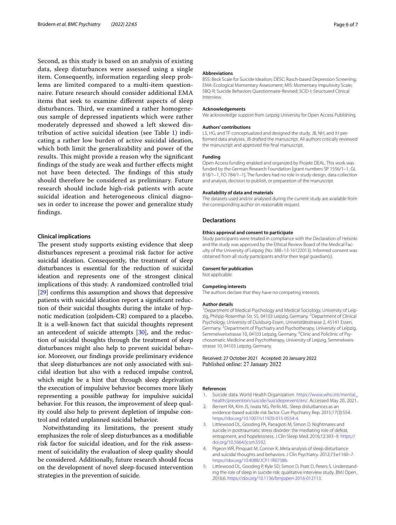Second, as this study is based on an analysis of existing data, sleep disturbances were assessed using a single item. Consequently, information regarding sleep problems are limited compared to a multi-item questionnaire. Future research should consider additional EMA items that seek to examine diferent aspects of sleep disturbances. Third, we examined a rather homogeneous sample of depressed inpatients which were rather moderately depressed and showed a left skewed distribution of active suicidal ideation (see Table [1\)](#page-3-0) indicating a rather low burden of active suicidal ideation, which both limit the generalizability and power of the results. This might provide a reason why the significant fndings of the study are weak and further efects might not have been detected. The findings of this study should therefore be considered as preliminary. Future research should include high-risk patients with acute suicidal ideation and heterogeneous clinical diagnoses in order to increase the power and generalize study fndings.

# **Clinical implications**

The present study supports existing evidence that sleep disturbances represent a proximal risk factor for active suicidal ideation. Consequently, the treatment of sleep disturbances is essential for the reduction of suicidal ideation and represents one of the strongest clinical implications of this study. A randomized controlled trial [[29\]](#page-6-23) confrms this assumption and shows that depressive patients with suicidal ideation report a signifcant reduction of their suicidal thoughts during the intake of hypnotic medication (zolpidem-CR) compared to a placebo. It is a well-known fact that suicidal thoughts represent an antecedent of suicide attempts [[30\]](#page-6-24), and the reduction of suicidal thoughts through the treatment of sleep disturbances might also help to prevent suicidal behavior. Moreover, our fndings provide preliminary evidence that sleep disturbances are not only associated with suicidal ideation but also with a reduced impulse control, which might be a hint that through sleep deprivation the execution of impulsive behavior becomes more likely representing a possible pathway for impulsive suicidal behavior. For this reason, the improvement of sleep quality could also help to prevent depletion of impulse control and related unplanned suicidal behavior.

Notwithstanding its limitations, the present study emphasizes the role of sleep disturbances as a modifable risk factor for suicidal ideation, and for the risk assessment of suicidality the evaluation of sleep quality should be considered. Additionally, future research should focus on the development of novel sleep-focused intervention strategies in the prevention of suicide.

#### **Abbreviations**

BSS: Beck Scale for Suicide Ideation; DESC: Rasch-based Depression Screening; EMA: Ecological Momentary Assessment; MIS: Momentary Impulsivity Scale; SBQ-R: Suicide Behaviors Questionnaire-Revised; SCID-I: Structured Clinical Interview.

#### **Acknowledgements**

We acknowledge support from Leipzig University for Open Access Publishing.

#### **Authors' contributions**

LS, HG, and TF conceptualized and designed the study. JB, NH, and IH performed data analyses. JB drafted the manuscript. All authors critically reviewed the manuscript and approved the fnal manuscript.

#### **Funding**

Open Access funding enabled and organized by Projekt DEAL. This work was funded by the German Research Foundation [grant numbers SP 1556/1–1, GL 818/1–1, FO 784/1–1]. The funders had no role in study design, data collection and analysis, decision to publish, or preparation of the manuscript.

#### **Availability of data and materials**

The datasets used and/or analysed during the current study are available from the corresponding author on reasonable request.

## **Declarations**

### **Ethics approval and consent to participate**

Study participants were treated in compliance with the Declaration of Helsinki and the study was approved by the Ethical Review Board of the Medical Faculty of the University of Leipzig (No: 388–13-16122013). Informed consent was obtained from all study participants and/or their legal guardian(s).

#### **Consent for publication**

Not applicable.

#### **Competing interests**

The authors declare that they have no competing interests.

#### **Author details**

<sup>1</sup> Department of Medical Psychology and Medical Sociology, University of Leipzig, Philipp-Rosenthal-Str. 55, 04103 Leipzig, Germany. <sup>2</sup> Department of Clinical Psychology, University of Duisburg-Essen, Universitätsstrasse 2, 45141 Essen, Germany.<sup>3</sup> Department of Psychiatry and Psychotherapy, University of Leipzig, Semmelweisstrasse 10, 04103 Leipzig, Germany. <sup>4</sup>Clinic and Policlinic of Psychosomatic Medicine and Psychotherapy, University of Leipzig, Semmelweisstrasse 10, 04103 Leipzig, Germany.

## Received: 27 October 2021 Accepted: 20 January 2022 Published online: 27 January 2022

## **References**

- <span id="page-5-0"></span>1. Suicide data. World Health Organization. [https://www.who.int/mental\\_](https://www.who.int/mental_health/prevention/suicide/suicideprevent/en/) [health/prevention/suicide/suicideprevent/en/.](https://www.who.int/mental_health/prevention/suicide/suicideprevent/en/) Accessed May 20, 2021.
- <span id="page-5-1"></span>2. Bernert RA, Kim JS, Iwata NG, Perlis ML. Sleep disturbances as an evidence-based suicide risk factor. Curr Psychiatry Rep. 2015;17(3):554. [https://doi.org/10.1007/s11920-015-0554-4.](https://doi.org/10.1007/s11920-015-0554-4)
- 3. Littlewood DL, Gooding PA, Panagioti M, Simon D. Nightmares and suicide in posttraumatic stress disorder: the mediating role of defeat, entrapment, and hopelessness. J Clin Sleep Med. 2016;12:393–9. [https://](https://doi.org/10.5664/jcsm.5592) [doi.org/10.5664/jcsm.5592](https://doi.org/10.5664/jcsm.5592).
- <span id="page-5-2"></span>4. Pigeon WR, Pinquart M, Conner K. Meta-analysis of sleep disturbance and suicidal thoughts and behaviors. J Clin Psychiatry. 2012;73:e1160–7. [https://doi.org/10.4088/JCP.11R07586.](https://doi.org/10.4088/JCP.11R07586)
- <span id="page-5-3"></span>5. Littlewood DL, Gooding P, Kyle SD, Simon D, Pratt D, Peters S. Understanding the role of sleep in suicide risk: qualitative interview study. BMJ Open. 2016;6. [https://doi.org/10.1136/bmjopen-2016-012113.](https://doi.org/10.1136/bmjopen-2016-012113)